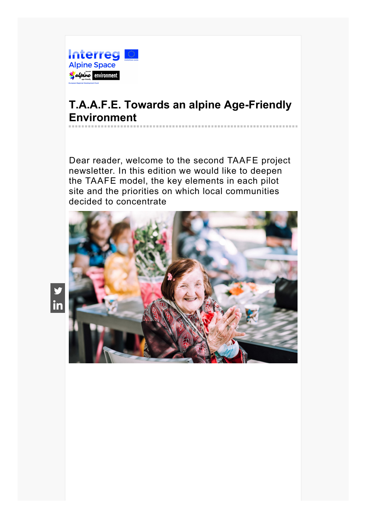

# **T.A.A.F.E. Towards an alpine Age-Friendly Environment**

Dear reader, welcome to the second TAAFE project newsletter. In this edition we would like to deepen the TAAFE model, the key elements in each pilot site and the priorities on which local communities decided to concentrate



 $\frac{9}{5}$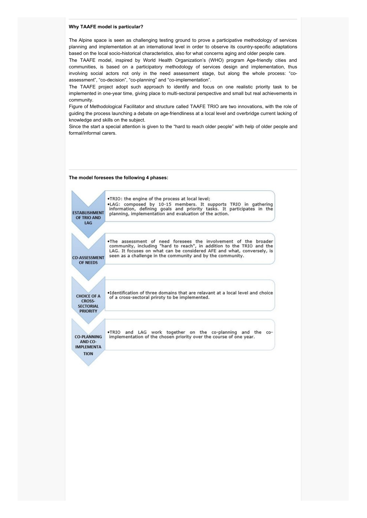#### **Why TAAFE model is particular?**

The Alpine space is seen as challenging testing ground to prove a participative methodology of services planning and implementation at an international level in order to observe its country-specific adaptations based on the local socio-historical characteristics, also for what concerns aging and older people care.

The TAAFE model, inspired by World Health Organization's (WHO) program Age-friendly cities and communities, is based on a participatory methodology of services design and implementation, thus involving social actors not only in the need assessment stage, but along the whole process: "coassessment", "co-decision", "co-planning" and "co-implementation".

The TAAFE project adopt such approach to identify and focus on one realistic priority task to be implemented in one-year time, giving place to multi-sectoral perspective and small but real achievements in community.

Figure of Methodological Facilitator and structure called TAAFE TRIO are two innovations, with the role of guiding the process launching a debate on age-friendliness at a local level and overbridge current lacking of knowledge and skills on the subject.

Since the start a special attention is given to the "hard to reach older people" with help of older people and formal/informal carers.

# **The model foresees the following 4 phases:**

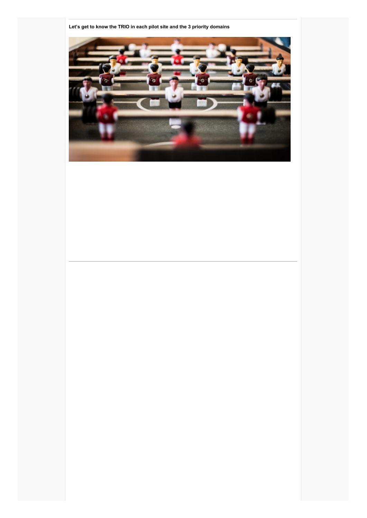

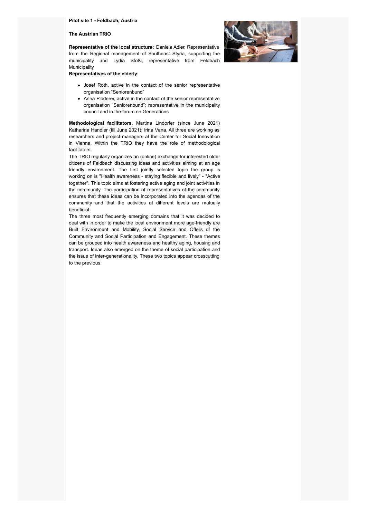#### **Pilot site 1 - Feldbach, Austria**

## **The Austrian TRIO**

**Representative of the local structure:** Daniela Adler, Representative from the Regional management of Southeast Styria, supporting the municipality and Lydia Stößl, representative from Feldbach Municipality



**Representatives of the elderly:**

- Josef Roth, active in the contact of the senior representative organisation "Seniorenbund"
- Anna Ploderer, active in the contact of the senior representative organisation "Seniorenbund"; representative in the municipality council and in the forum on Generations

**Methodological facilitators,** Martina Lindorfer (since June 2021) Katharina Handler (till June 2021); Irina Vana. All three are working as researchers and project managers at the Center for Social Innovation in Vienna. Within the TRIO they have the role of methodological facilitators.

The TRIO regularly organizes an (online) exchange for interested older citizens of Feldbach discussing ideas and activities aiming at an age friendly environment. The first jointly selected topic the group is working on is "Health awareness - staying flexible and lively" - "Active together". This topic aims at fostering active aging and joint activities in the community. The participation of representatives of the community ensures that these ideas can be incorporated into the agendas of the community and that the activities at different levels are mutually beneficial.

The three most frequently emerging domains that it was decided to deal with in order to make the local environment more age-friendly are Built Environment and Mobility, Social Service and Offers of the Community and Social Participation and Engagement. These themes can be grouped into health awareness and healthy aging, housing and transport. Ideas also emerged on the theme of social participation and the issue of inter-generationality. These two topics appear crosscutting to the previous.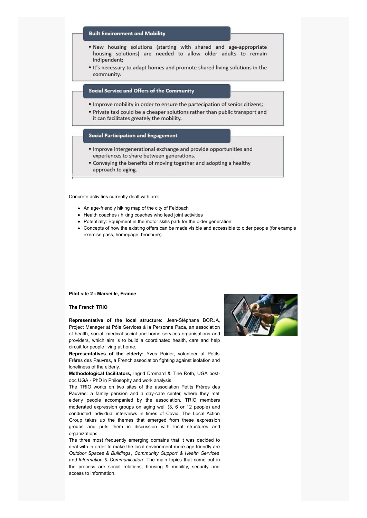# **Built Environment and Mobility**

- . New housing solutions (starting with shared and age-appropriate housing solutions) are needed to allow older adults to remain indipendent;
- . It's necessary to adapt homes and promote shared living solutions in the community.

# Social Service and Offers of the Community

- . Improve mobility in order to ensure the partecipation of senior citizens;
- . Private taxi could be a cheaper solutions rather than public transport and it can facilitates greately the mobility.

## **Social Participation and Engagement**

- · Improve intergenerational exchange and provide opportunities and experiences to share between generations.
- Conveying the benefits of moving together and adopting a healthy approach to aging.

Concrete activities currently dealt with are:

- An age-friendly hiking map of the city of Feldbach
- Health coaches / hiking coaches who lead joint activities
- Potentially: Equipment in the motor skills park for the older generation
- Concepts of how the existing offers can be made visible and accessible to older people (for example exercise pass, homepage, brochure)

# **Pilot site 2 - Marseille, France**

#### **The French TRIO**

**Representative of the local structure:** Jean-Stéphane BORJA, Project Manager at Pôle Services à la Personne Paca, an association of health, social, medical-social and home services organisations and providers, which aim is to build a coordinated health, care and help circuit for people living at home.

**Representatives of the elderly:** Yves Poirier, volunteer at Petits Frères des Pauvres, a French association fighting against isolation and loneliness of the elderly.

**Methodological facilitators,** Ingrid Dromard & Tine Roth, UGA postdoc UGA - PhD in Philosophy and work analysis.

The TRIO works on two sites of the association Petits Frères des Pauvres: a family pension and a day-care center, where they met elderly people accompanied by the association. TRIO members moderated expression groups on aging well (3, 6 or 12 people) and conducted individual interviews in times of Covid. The Local Action Group takes up the themes that emerged from these expression groups and puts them in discussion with local structures and organizations.

The three most frequently emerging domains that it was decided to deal with in order to make the local environment more age-friendly are *Outdoor Spaces & Buildings* , *Community Support & Health Services* and *Information & Communication*. The main topics that came out in the process are social relations, housing & mobility, security and access to information.

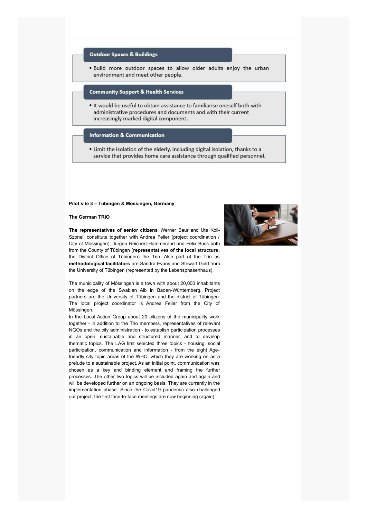# **Outdoor Spaces & Buildings**

. Build more outdoor spaces to allow older adults enjoy the urban environment and meet other people.

## **Community Support & Health Services**

. It would be useful to obtain assistance to familiarise oneself both with administrative procedures and documents and with their current increasingly marked digital component.

#### **Information & Communication**

. Limit the isolation of the elderly, including digital isolation, thanks to a service that provides home care assistance through qualified personnel.

# **Pilot site 3 – Tübingen & Mössingen, Germany**

**The German TRIO**



**The representatives of senior citizens** Werner Baur and Ute Koll-Szonell constitute together with Andrea Feiler (project coordination / City of Mössingen), Jürgen Reichert-Hammerand and Felix Buss both from the County of Tübingen (**representatives of the local structure**, the District Office of Tübingen) the Trio. Also part of the Trio as **methodological facilitators** are Sandra Evans and Stewart Gold from the University of Tübingen (represented by the Lebensphasenhaus).

The municipality of Mössingen is a town with about 20,000 inhabitants on the edge of the Swabian Alb in Baden-Württemberg. Project partners are the University of Tübingen and the district of Tübingen. The local project coordinator is Andrea Feiler from the City of Mössingen.

In the Local Action Group about 20 citizens of the municipality work together - in addition to the Trio members, representatives of relevant NGOs and the city administration - to establish participation processes in an open, sustainable and structured manner, and to develop thematic topics. The LAG first selected three topics - housing, social participation, communication and information - from the eight Agefriendly city topic areas of the WHO, which they are working on as a prelude to a sustainable project. As an initial point, communication was chosen as a key and binding element and framing the further processes. The other two topics will be included again and again and will be developed further on an ongoing basis. They are currently in the implementation phase. Since the Covid19 pandemic also challenged our project, the first face-to-face meetings are now beginning (again).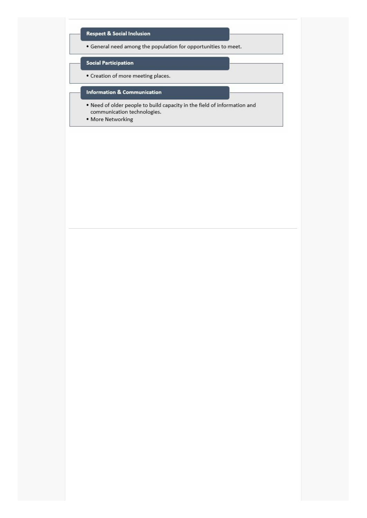# **Respect & Social Inclusion**

• General need among the population for opportunities to meet.

# **Social Participation**

• Creation of more meeting places.

# **Information & Communication**

- . Need of older people to build capacity in the field of information and communication technologies.
- · More Networking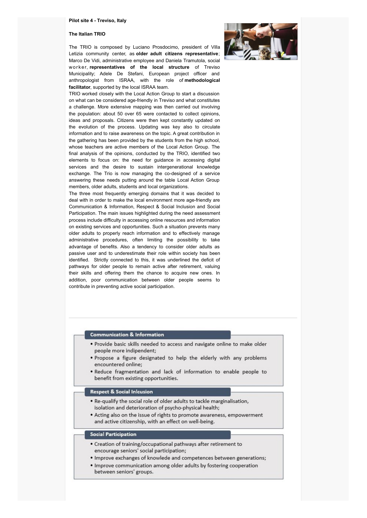#### **Pilot site 4 - Treviso, Italy**

#### **The Italian TRIO**

The TRIO is composed by Luciano Prosdocimo, president of Villa Letizia community center, as **older adult citizens representative**; Marco De Vidi, administrative employee and Daniela Tramutola, social wor ker, **representatives of the local structure** of Treviso Municipality; Adele De Stefani, European project officer and anthropologist from ISRAA, with the role of **methodological facilitator**, supported by the local ISRAA team.



TRIO worked closely with the Local Action Group to start a discussion on what can be considered age-friendly in Treviso and what constitutes a challenge. More extensive mapping was then carried out involving the population: about 50 over 65 were contacted to collect opinions, ideas and proposals. Citizens were then kept constantly updated on the evolution of the process. Updating was key also to circulate information and to raise awareness on the topic. A great contribution in the gathering has been provided by the students from the high school, whose teachers are active members of the Local Action Group. The final analysis of the opinions, conducted by the TRIO, identified two elements to focus on: the need for guidance in accessing digital services and the desire to sustain intergenerational knowledge exchange. The Trio is now managing the co-designed of a service answering these needs putting around the table Local Action Group members, older adults, students and local organizations.

The three most frequently emerging domains that it was decided to deal with in order to make the local environment more age-friendly are Communication & Information, Respect & Social Inclusion and Social Participation. The main issues highlighted during the need assessment process include difficulty in accessing online resources and information on existing services and opportunities. Such a situation prevents many older adults to properly reach information and to effectively manage administrative procedures, often limiting the possibility to take advantage of benefits. Also a tendency to consider older adults as passive user and to underestimate their role within society has been identified. Strictly connected to this, it was underlined the deficit of pathways for older people to remain active after retirement, valuing their skills and offering them the chance to acquire new ones. In addition, poor communication between older people seems to contribute in preventing active social participation.

## **Communication & Information**

- . Provide basic skills needed to access and navigate online to make older people more indipendent;
- . Propose a figure designated to help the elderly with any problems encountered online;
- . Reduce fragmentation and lack of information to enable people to benefit from existing opportunities.

#### **Respect & Social Inlcusion**

- . Re-qualify the social role of older adults to tackle marginalisation, isolation and deterioration of psycho-physical health;
- Acting also on the issue of rights to promote awareness, empowerment and active citizenship, with an effect on well-being.

# **Social Participation**

- Creation of training/occupational pathways after retirement to encourage seniors' social participation;
- . Improve exchanges of knowlede and competences between generations;
- . Improve communication among older adults by fostering cooperation between seniors' groups.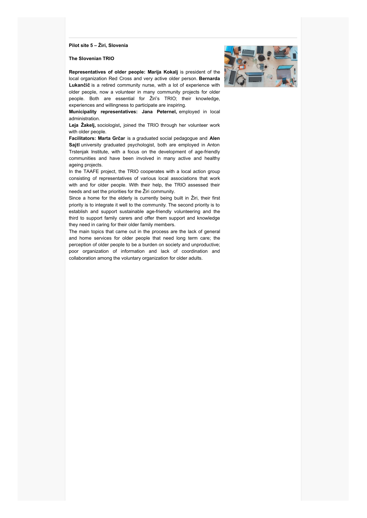**Pilot site 5 – Žiri, Slovenia**

**The Slovenian TRIO**



**Representatives of older people: Marija Kokalj** is president of the local organization Red Cross and very active older person. **Bernarda Lukančič** is a retired community nurse, with a lot of experience with older people, now a volunteer in many community projects for older people. Both are essential for Žiri's TRIO; their knowledge, experiences and willingness to participate are inspiring.

**Municipality representatives: Jana Peternel,** employed in local administration.

**Leja Žakelj,** sociologist**,** joined the TRIO through her volunteer work with older people.

**Facilitators: Marta Grčar** is a graduated social pedagogue and **Alen Sajtl** university graduated psychologist, both are employed in Anton Trstenjak Institute, with a focus on the development of age-friendly communities and have been involved in many active and healthy ageing projects.

In the TAAFE project, the TRIO cooperates with a local action group consisting of representatives of various local associations that work with and for older people. With their help, the TRIO assessed their needs and set the priorities for the Žiri community.

Since a home for the elderly is currently being built in Žiri, their first priority is to integrate it well to the community. The second priority is to establish and support sustainable age-friendly volunteering and the third to support family carers and offer them support and knowledge they need in caring for their older family members.

The main topics that came out in the process are the lack of general and home services for older people that need long term care; the perception of older people to be a burden on society and unproductive; poor organization of information and lack of coordination and collaboration among the voluntary organization for older adults.